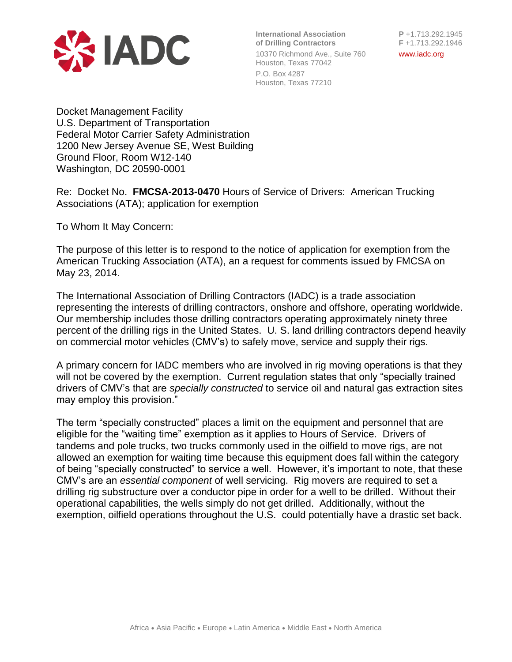

**International Association P** +1.713.292.1945 **of Drilling Contractors F** +1.713.292.1946 10370 Richmond Ave., Suite 760 www.iadc.org Houston, Texas 77042

P.O. Box 4287 Houston, Texas 77210

Docket Management Facility U.S. Department of Transportation Federal Motor Carrier Safety Administration 1200 New Jersey Avenue SE, West Building Ground Floor, Room W12-140 Washington, DC 20590-0001

Re: Docket No. **FMCSA-2013-0470** Hours of Service of Drivers: American Trucking Associations (ATA); application for exemption

To Whom It May Concern:

The purpose of this letter is to respond to the notice of application for exemption from the American Trucking Association (ATA), an a request for comments issued by FMCSA on May 23, 2014.

The International Association of Drilling Contractors (IADC) is a trade association representing the interests of drilling contractors, onshore and offshore, operating worldwide. Our membership includes those drilling contractors operating approximately ninety three percent of the drilling rigs in the United States. U. S. land drilling contractors depend heavily on commercial motor vehicles (CMV's) to safely move, service and supply their rigs.

A primary concern for IADC members who are involved in rig moving operations is that they will not be covered by the exemption. Current regulation states that only "specially trained drivers of CMV's that are *specially constructed* to service oil and natural gas extraction sites may employ this provision."

The term "specially constructed" places a limit on the equipment and personnel that are eligible for the "waiting time" exemption as it applies to Hours of Service. Drivers of tandems and pole trucks, two trucks commonly used in the oilfield to move rigs, are not allowed an exemption for waiting time because this equipment does fall within the category of being "specially constructed" to service a well. However, it's important to note, that these CMV's are an *essential component* of well servicing. Rig movers are required to set a drilling rig substructure over a conductor pipe in order for a well to be drilled. Without their operational capabilities, the wells simply do not get drilled. Additionally, without the exemption, oilfield operations throughout the U.S. could potentially have a drastic set back.